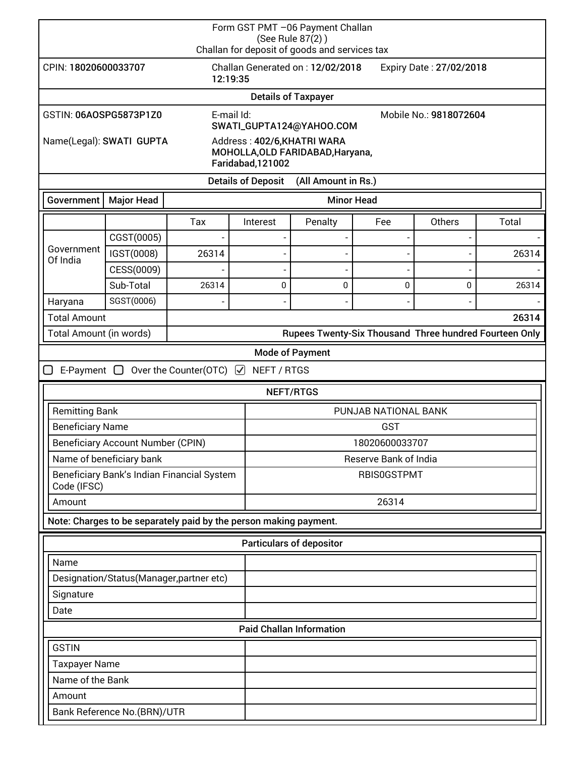| Form GST PMT -06 Payment Challan<br>(See Rule 87(2))<br>Challan for deposit of goods and services tax |                                 |                                                        |                                                    |                                                                 |                         |        |       |  |  |
|-------------------------------------------------------------------------------------------------------|---------------------------------|--------------------------------------------------------|----------------------------------------------------|-----------------------------------------------------------------|-------------------------|--------|-------|--|--|
| CPIN: 18020600033707<br>12:19:35                                                                      |                                 |                                                        | Challan Generated on: 12/02/2018                   |                                                                 | Expiry Date: 27/02/2018 |        |       |  |  |
| <b>Details of Taxpayer</b>                                                                            |                                 |                                                        |                                                    |                                                                 |                         |        |       |  |  |
| E-mail Id:<br>GSTIN: 06AOSPG5873P1Z0                                                                  |                                 |                                                        | Mobile No.: 9818072604<br>SWATI_GUPTA124@YAHOO.COM |                                                                 |                         |        |       |  |  |
| Name(Legal): SWATI GUPTA                                                                              |                                 |                                                        | Faridabad, 121002                                  | Address: 402/6, KHATRI WARA<br>MOHOLLA, OLD FARIDABAD, Haryana, |                         |        |       |  |  |
|                                                                                                       |                                 |                                                        | <b>Details of Deposit</b>                          | (All Amount in Rs.)                                             |                         |        |       |  |  |
| Government                                                                                            | <b>Major Head</b>               |                                                        |                                                    | <b>Minor Head</b>                                               |                         |        |       |  |  |
|                                                                                                       |                                 | Tax                                                    | Interest                                           | Penalty                                                         | Fee                     | Others | Total |  |  |
|                                                                                                       | CGST(0005)                      |                                                        |                                                    |                                                                 | $\overline{a}$          |        |       |  |  |
| Government<br>Of India                                                                                | IGST(0008)                      | 26314                                                  |                                                    |                                                                 |                         |        | 26314 |  |  |
|                                                                                                       | CESS(0009)                      |                                                        |                                                    |                                                                 |                         |        |       |  |  |
|                                                                                                       | Sub-Total                       | 26314                                                  | 0                                                  | 0                                                               | 0                       | 0      | 26314 |  |  |
| Haryana                                                                                               | SGST(0006)                      |                                                        |                                                    |                                                                 |                         |        |       |  |  |
| <b>Total Amount</b>                                                                                   |                                 |                                                        |                                                    |                                                                 |                         |        | 26314 |  |  |
| Total Amount (in words)                                                                               |                                 | Rupees Twenty-Six Thousand Three hundred Fourteen Only |                                                    |                                                                 |                         |        |       |  |  |
| <b>Mode of Payment</b>                                                                                |                                 |                                                        |                                                    |                                                                 |                         |        |       |  |  |
| 0<br>E-Payment $\Box$ Over the Counter(OTC) $\Box$<br>NEFT / RTGS                                     |                                 |                                                        |                                                    |                                                                 |                         |        |       |  |  |
|                                                                                                       | NEFT/RTGS                       |                                                        |                                                    |                                                                 |                         |        |       |  |  |
| <b>Remitting Bank</b>                                                                                 |                                 |                                                        | PUNJAB NATIONAL BANK                               |                                                                 |                         |        |       |  |  |
| <b>Beneficiary Name</b>                                                                               |                                 |                                                        |                                                    | <b>GST</b>                                                      |                         |        |       |  |  |
| <b>Beneficiary Account Number (CPIN)</b>                                                              |                                 |                                                        |                                                    | 18020600033707                                                  |                         |        |       |  |  |
| Name of beneficiary bank                                                                              |                                 |                                                        |                                                    | Reserve Bank of India                                           |                         |        |       |  |  |
| Beneficiary Bank's Indian Financial System<br>Code (IFSC)                                             |                                 |                                                        |                                                    | <b>RBIS0GSTPMT</b>                                              |                         |        |       |  |  |
| Amount                                                                                                |                                 |                                                        |                                                    | 26314                                                           |                         |        |       |  |  |
| Note: Charges to be separately paid by the person making payment.                                     |                                 |                                                        |                                                    |                                                                 |                         |        |       |  |  |
| <b>Particulars of depositor</b>                                                                       |                                 |                                                        |                                                    |                                                                 |                         |        |       |  |  |
| Name                                                                                                  |                                 |                                                        |                                                    |                                                                 |                         |        |       |  |  |
| Designation/Status(Manager,partner etc)                                                               |                                 |                                                        |                                                    |                                                                 |                         |        |       |  |  |
| Signature                                                                                             |                                 |                                                        |                                                    |                                                                 |                         |        |       |  |  |
| Date                                                                                                  |                                 |                                                        |                                                    |                                                                 |                         |        |       |  |  |
|                                                                                                       | <b>Paid Challan Information</b> |                                                        |                                                    |                                                                 |                         |        |       |  |  |
| <b>GSTIN</b>                                                                                          |                                 |                                                        |                                                    |                                                                 |                         |        |       |  |  |
| <b>Taxpayer Name</b>                                                                                  |                                 |                                                        |                                                    |                                                                 |                         |        |       |  |  |
| Name of the Bank                                                                                      |                                 |                                                        |                                                    |                                                                 |                         |        |       |  |  |
| Amount                                                                                                |                                 |                                                        |                                                    |                                                                 |                         |        |       |  |  |
|                                                                                                       | Bank Reference No.(BRN)/UTR     |                                                        |                                                    |                                                                 |                         |        |       |  |  |